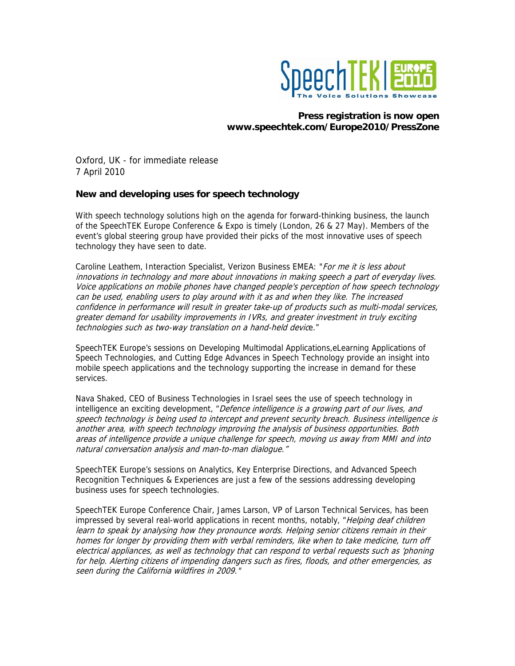

# **Press registration is now open www.speechtek.com/Europe2010/PressZone**

Oxford, UK - for immediate release 7 April 2010

## **New and developing uses for speech technology**

With speech technology solutions high on the agenda for forward-thinking business, the launch of the SpeechTEK Europe Conference & Expo is timely (London, 26 & 27 May). Members of the event's global steering group have provided their picks of the most innovative uses of speech technology they have seen to date.

Caroline Leathem, Interaction Specialist, Verizon Business EMEA: "For me it is less about innovations in technology and more about innovations in making speech a part of everyday lives. Voice applications on mobile phones have changed people's perception of how speech technology can be used, enabling users to play around with it as and when they like. The increased confidence in performance will result in greater take-up of products such as multi-modal services, greater demand for usability improvements in IVRs, and greater investment in truly exciting technologies such as two-way translation on a hand-held device."

SpeechTEK Europe's sessions on Developing Multimodal Applications,eLearning Applications of Speech Technologies, and Cutting Edge Advances in Speech Technology provide an insight into mobile speech applications and the technology supporting the increase in demand for these services.

Nava Shaked, CEO of Business Technologies in Israel sees the use of speech technology in intelligence an exciting development, "Defence intelligence is a growing part of our lives, and speech technology is being used to intercept and prevent security breach. Business intelligence is another area, with speech technology improving the analysis of business opportunities. Both areas of intelligence provide a unique challenge for speech, moving us away from MMI and into natural conversation analysis and man-to-man dialogue."

SpeechTEK Europe's sessions on Analytics, Key Enterprise Directions, and Advanced Speech Recognition Techniques & Experiences are just a few of the sessions addressing developing business uses for speech technologies.

SpeechTEK Europe Conference Chair, James Larson, VP of Larson Technical Services, has been impressed by several real-world applications in recent months, notably, "Helping deaf children learn to speak by analysing how they pronounce words. Helping senior citizens remain in their homes for longer by providing them with verbal reminders, like when to take medicine, turn off electrical appliances, as well as technology that can respond to verbal requests such as 'phoning for help. Alerting citizens of impending dangers such as fires, floods, and other emergencies, as seen during the California wildfires in 2009."